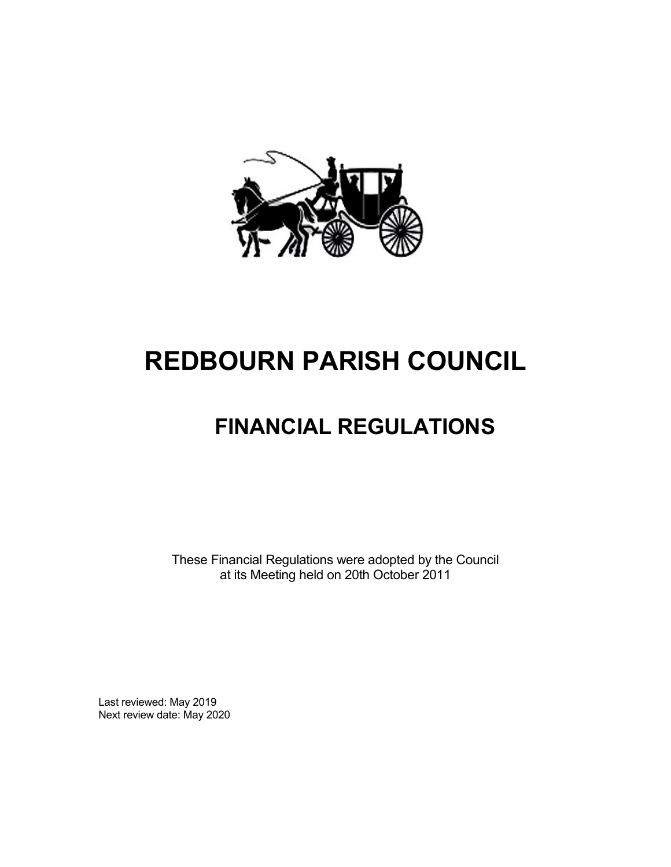

# **REDBOURN PARISH COUNCIL**

# **FINANCIAL REGULATIONS**

These Financial Regulations were adopted by the Council at its Meeting held on 20th October 2011

Last reviewed: May 2019 Next review date: May 2020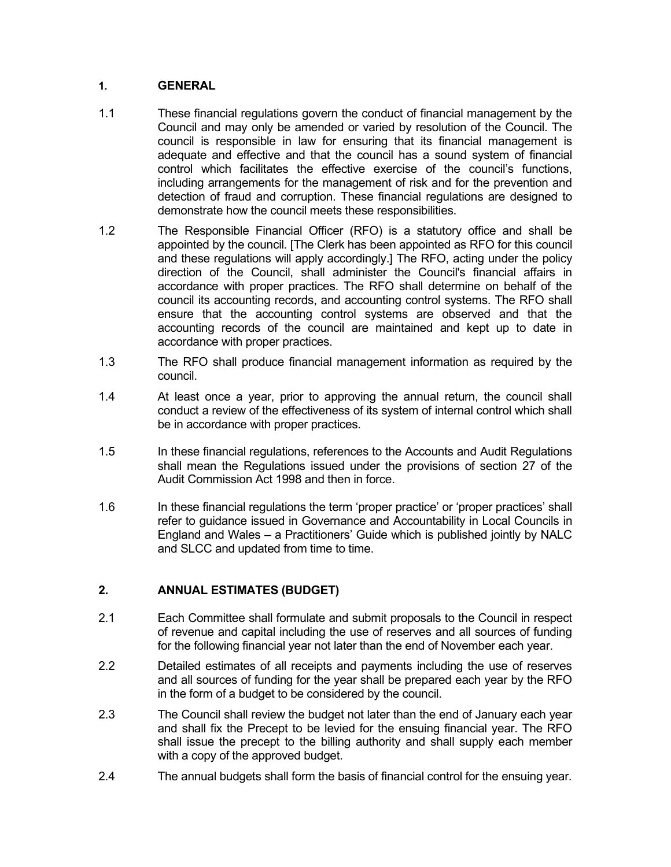#### **1. GENERAL**

- 1.1 These financial regulations govern the conduct of financial management by the Council and may only be amended or varied by resolution of the Council. The council is responsible in law for ensuring that its financial management is adequate and effective and that the council has a sound system of financial control which facilitates the effective exercise of the council's functions, including arrangements for the management of risk and for the prevention and detection of fraud and corruption. These financial regulations are designed to demonstrate how the council meets these responsibilities.
- 1.2 The Responsible Financial Officer (RFO) is a statutory office and shall be appointed by the council. [The Clerk has been appointed as RFO for this council and these regulations will apply accordingly.] The RFO, acting under the policy direction of the Council, shall administer the Council's financial affairs in accordance with proper practices. The RFO shall determine on behalf of the council its accounting records, and accounting control systems. The RFO shall ensure that the accounting control systems are observed and that the accounting records of the council are maintained and kept up to date in accordance with proper practices.
- 1.3 The RFO shall produce financial management information as required by the council.
- 1.4 At least once a year, prior to approving the annual return, the council shall conduct a review of the effectiveness of its system of internal control which shall be in accordance with proper practices.
- 1.5 In these financial regulations, references to the Accounts and Audit Regulations shall mean the Regulations issued under the provisions of section 27 of the Audit Commission Act 1998 and then in force.
- 1.6 In these financial regulations the term 'proper practice' or 'proper practices' shall refer to guidance issued in Governance and Accountability in Local Councils in England and Wales – a Practitioners' Guide which is published jointly by NALC and SLCC and updated from time to time.

# **2. ANNUAL ESTIMATES (BUDGET)**

- 2.1 Each Committee shall formulate and submit proposals to the Council in respect of revenue and capital including the use of reserves and all sources of funding for the following financial year not later than the end of November each year.
- 2.2 Detailed estimates of all receipts and payments including the use of reserves and all sources of funding for the year shall be prepared each year by the RFO in the form of a budget to be considered by the council.
- 2.3 The Council shall review the budget not later than the end of January each year and shall fix the Precept to be levied for the ensuing financial year. The RFO shall issue the precept to the billing authority and shall supply each member with a copy of the approved budget.
- 2.4 The annual budgets shall form the basis of financial control for the ensuing year.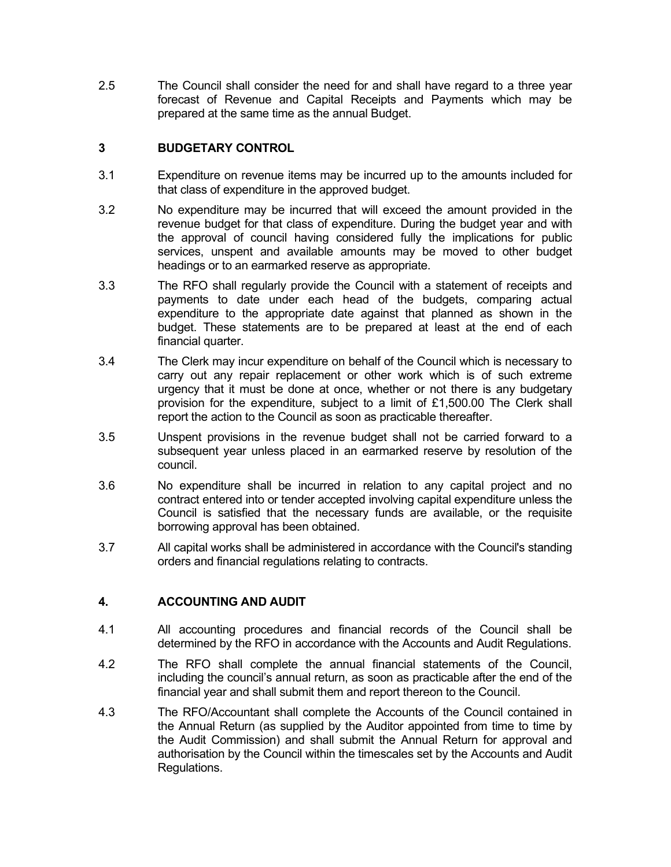2.5 The Council shall consider the need for and shall have regard to a three year forecast of Revenue and Capital Receipts and Payments which may be prepared at the same time as the annual Budget.

# **3 BUDGETARY CONTROL**

- 3.1 Expenditure on revenue items may be incurred up to the amounts included for that class of expenditure in the approved budget.
- 3.2 No expenditure may be incurred that will exceed the amount provided in the revenue budget for that class of expenditure. During the budget year and with the approval of council having considered fully the implications for public services, unspent and available amounts may be moved to other budget headings or to an earmarked reserve as appropriate.
- 3.3 The RFO shall regularly provide the Council with a statement of receipts and payments to date under each head of the budgets, comparing actual expenditure to the appropriate date against that planned as shown in the budget. These statements are to be prepared at least at the end of each financial quarter.
- 3.4 The Clerk may incur expenditure on behalf of the Council which is necessary to carry out any repair replacement or other work which is of such extreme urgency that it must be done at once, whether or not there is any budgetary provision for the expenditure, subject to a limit of £1,500.00 The Clerk shall report the action to the Council as soon as practicable thereafter.
- 3.5 Unspent provisions in the revenue budget shall not be carried forward to a subsequent year unless placed in an earmarked reserve by resolution of the council.
- 3.6 No expenditure shall be incurred in relation to any capital project and no contract entered into or tender accepted involving capital expenditure unless the Council is satisfied that the necessary funds are available, or the requisite borrowing approval has been obtained.
- 3.7 All capital works shall be administered in accordance with the Council's standing orders and financial regulations relating to contracts.

# **4. ACCOUNTING AND AUDIT**

- 4.1 All accounting procedures and financial records of the Council shall be determined by the RFO in accordance with the Accounts and Audit Regulations.
- 4.2 The RFO shall complete the annual financial statements of the Council, including the council's annual return, as soon as practicable after the end of the financial year and shall submit them and report thereon to the Council.
- 4.3 The RFO/Accountant shall complete the Accounts of the Council contained in the Annual Return (as supplied by the Auditor appointed from time to time by the Audit Commission) and shall submit the Annual Return for approval and authorisation by the Council within the timescales set by the Accounts and Audit Regulations.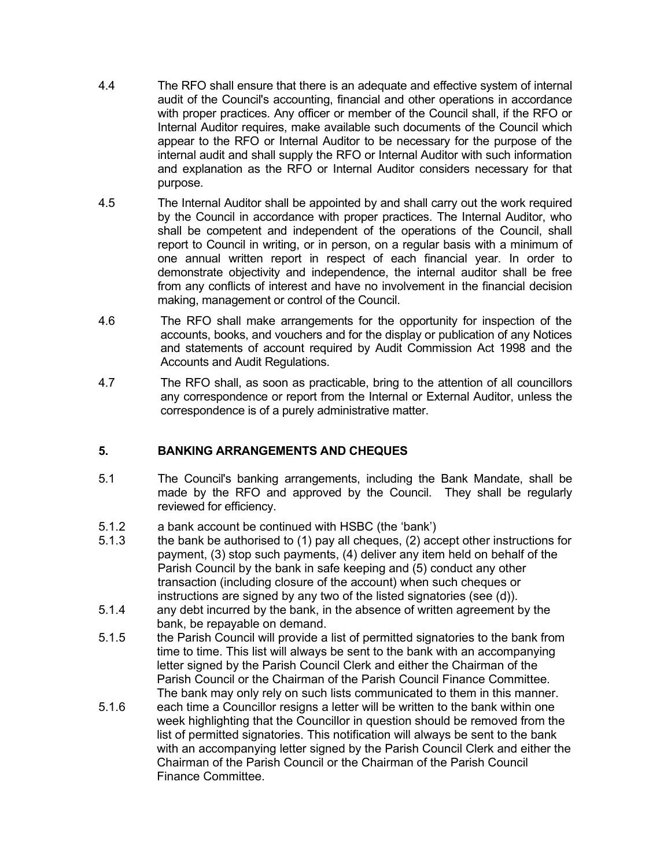- 4.4 The RFO shall ensure that there is an adequate and effective system of internal audit of the Council's accounting, financial and other operations in accordance with proper practices. Any officer or member of the Council shall, if the RFO or Internal Auditor requires, make available such documents of the Council which appear to the RFO or Internal Auditor to be necessary for the purpose of the internal audit and shall supply the RFO or Internal Auditor with such information and explanation as the RFO or Internal Auditor considers necessary for that purpose.
- 4.5 The Internal Auditor shall be appointed by and shall carry out the work required by the Council in accordance with proper practices. The Internal Auditor, who shall be competent and independent of the operations of the Council, shall report to Council in writing, or in person, on a regular basis with a minimum of one annual written report in respect of each financial year. In order to demonstrate objectivity and independence, the internal auditor shall be free from any conflicts of interest and have no involvement in the financial decision making, management or control of the Council.
- 4.6 The RFO shall make arrangements for the opportunity for inspection of the accounts, books, and vouchers and for the display or publication of any Notices and statements of account required by Audit Commission Act 1998 and the Accounts and Audit Regulations.
- 4.7 The RFO shall, as soon as practicable, bring to the attention of all councillors any correspondence or report from the Internal or External Auditor, unless the correspondence is of a purely administrative matter.

# **5. BANKING ARRANGEMENTS AND CHEQUES**

- 5.1 The Council's banking arrangements, including the Bank Mandate, shall be made by the RFO and approved by the Council. They shall be regularly reviewed for efficiency.
- 5.1.2 a bank account be continued with HSBC (the 'bank')
- 5.1.3 the bank be authorised to (1) pay all cheques, (2) accept other instructions for payment, (3) stop such payments, (4) deliver any item held on behalf of the Parish Council by the bank in safe keeping and (5) conduct any other transaction (including closure of the account) when such cheques or instructions are signed by any two of the listed signatories (see (d)).
- 5.1.4 any debt incurred by the bank, in the absence of written agreement by the bank, be repayable on demand.
- 5.1.5 the Parish Council will provide a list of permitted signatories to the bank from time to time. This list will always be sent to the bank with an accompanying letter signed by the Parish Council Clerk and either the Chairman of the Parish Council or the Chairman of the Parish Council Finance Committee. The bank may only rely on such lists communicated to them in this manner.
- 5.1.6 each time a Councillor resigns a letter will be written to the bank within one week highlighting that the Councillor in question should be removed from the list of permitted signatories. This notification will always be sent to the bank with an accompanying letter signed by the Parish Council Clerk and either the Chairman of the Parish Council or the Chairman of the Parish Council Finance Committee.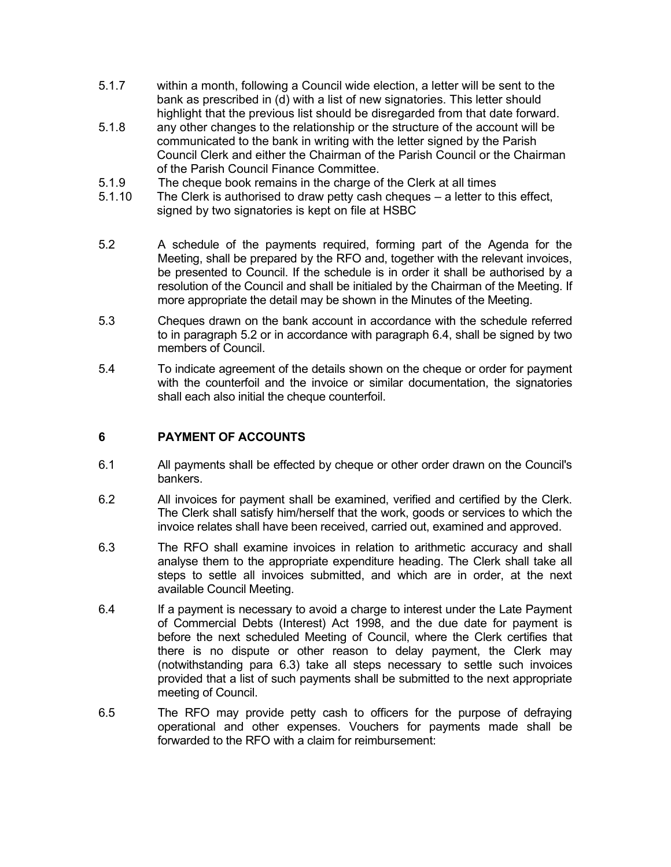- 5.1.7 within a month, following a Council wide election, a letter will be sent to the bank as prescribed in (d) with a list of new signatories. This letter should highlight that the previous list should be disregarded from that date forward.
- 5.1.8 any other changes to the relationship or the structure of the account will be communicated to the bank in writing with the letter signed by the Parish Council Clerk and either the Chairman of the Parish Council or the Chairman of the Parish Council Finance Committee.
- 5.1.9 The cheque book remains in the charge of the Clerk at all times
- 5.1.10 The Clerk is authorised to draw petty cash cheques a letter to this effect, signed by two signatories is kept on file at HSBC
- 5.2 A schedule of the payments required, forming part of the Agenda for the Meeting, shall be prepared by the RFO and, together with the relevant invoices, be presented to Council. If the schedule is in order it shall be authorised by a resolution of the Council and shall be initialed by the Chairman of the Meeting. If more appropriate the detail may be shown in the Minutes of the Meeting.
- 5.3 Cheques drawn on the bank account in accordance with the schedule referred to in paragraph 5.2 or in accordance with paragraph 6.4, shall be signed by two members of Council.
- 5.4 To indicate agreement of the details shown on the cheque or order for payment with the counterfoil and the invoice or similar documentation, the signatories shall each also initial the cheque counterfoil.

#### **6 PAYMENT OF ACCOUNTS**

- 6.1 All payments shall be effected by cheque or other order drawn on the Council's bankers.
- 6.2 All invoices for payment shall be examined, verified and certified by the Clerk. The Clerk shall satisfy him/herself that the work, goods or services to which the invoice relates shall have been received, carried out, examined and approved.
- 6.3 The RFO shall examine invoices in relation to arithmetic accuracy and shall analyse them to the appropriate expenditure heading. The Clerk shall take all steps to settle all invoices submitted, and which are in order, at the next available Council Meeting.
- 6.4 If a payment is necessary to avoid a charge to interest under the Late Payment of Commercial Debts (Interest) Act 1998, and the due date for payment is before the next scheduled Meeting of Council, where the Clerk certifies that there is no dispute or other reason to delay payment, the Clerk may (notwithstanding para 6.3) take all steps necessary to settle such invoices provided that a list of such payments shall be submitted to the next appropriate meeting of Council.
- 6.5 The RFO may provide petty cash to officers for the purpose of defraying operational and other expenses. Vouchers for payments made shall be forwarded to the RFO with a claim for reimbursement: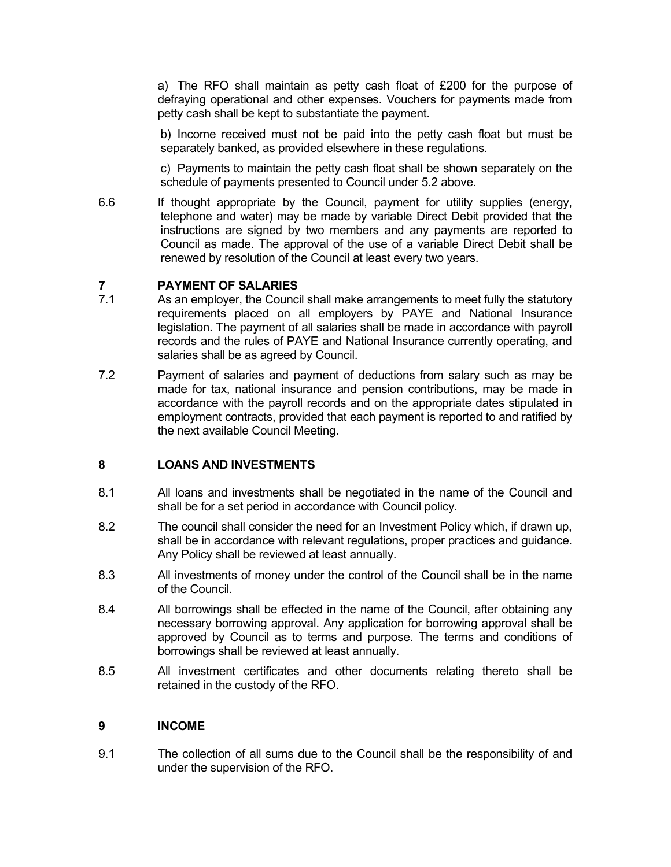a) The RFO shall maintain as petty cash float of £200 for the purpose of defraying operational and other expenses. Vouchers for payments made from petty cash shall be kept to substantiate the payment.

b) Income received must not be paid into the petty cash float but must be separately banked, as provided elsewhere in these regulations.

c) Payments to maintain the petty cash float shall be shown separately on the schedule of payments presented to Council under 5.2 above.

6.6 If thought appropriate by the Council, payment for utility supplies (energy, telephone and water) may be made by variable Direct Debit provided that the instructions are signed by two members and any payments are reported to Council as made. The approval of the use of a variable Direct Debit shall be renewed by resolution of the Council at least every two years.

# **7 PAYMENT OF SALARIES**

- 7.1 As an employer, the Council shall make arrangements to meet fully the statutory requirements placed on all employers by PAYE and National Insurance legislation. The payment of all salaries shall be made in accordance with payroll records and the rules of PAYE and National Insurance currently operating, and salaries shall be as agreed by Council.
- 7.2 Payment of salaries and payment of deductions from salary such as may be made for tax, national insurance and pension contributions, may be made in accordance with the payroll records and on the appropriate dates stipulated in employment contracts, provided that each payment is reported to and ratified by the next available Council Meeting.

#### **8 LOANS AND INVESTMENTS**

- 8.1 All loans and investments shall be negotiated in the name of the Council and shall be for a set period in accordance with Council policy.
- 8.2 The council shall consider the need for an Investment Policy which, if drawn up, shall be in accordance with relevant regulations, proper practices and guidance. Any Policy shall be reviewed at least annually.
- 8.3 All investments of money under the control of the Council shall be in the name of the Council.
- 8.4 All borrowings shall be effected in the name of the Council, after obtaining any necessary borrowing approval. Any application for borrowing approval shall be approved by Council as to terms and purpose. The terms and conditions of borrowings shall be reviewed at least annually.
- 8.5 All investment certificates and other documents relating thereto shall be retained in the custody of the RFO.

#### **9 INCOME**

9.1 The collection of all sums due to the Council shall be the responsibility of and under the supervision of the RFO.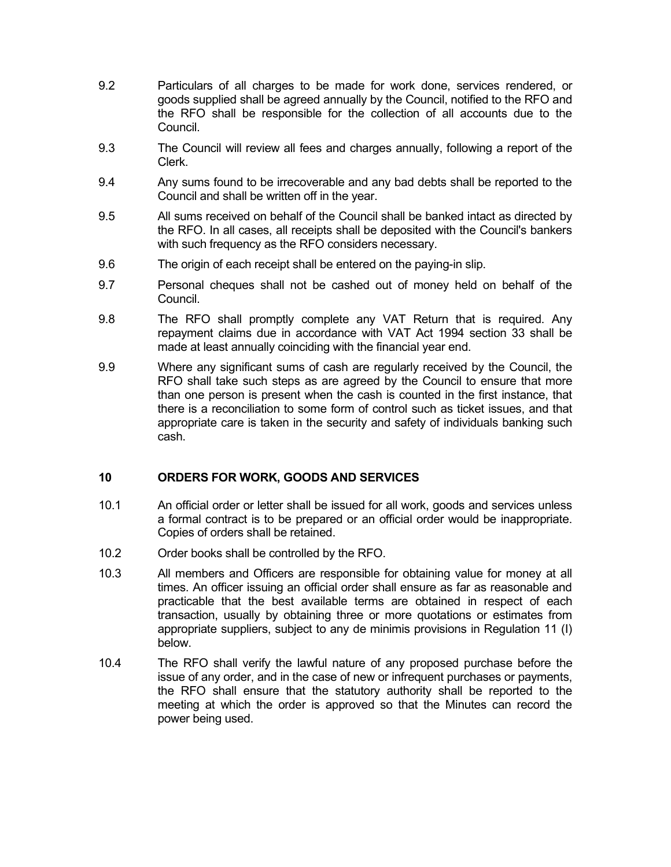- 9.2 Particulars of all charges to be made for work done, services rendered, or goods supplied shall be agreed annually by the Council, notified to the RFO and the RFO shall be responsible for the collection of all accounts due to the Council.
- 9.3 The Council will review all fees and charges annually, following a report of the Clerk.
- 9.4 Any sums found to be irrecoverable and any bad debts shall be reported to the Council and shall be written off in the year.
- 9.5 All sums received on behalf of the Council shall be banked intact as directed by the RFO. In all cases, all receipts shall be deposited with the Council's bankers with such frequency as the RFO considers necessary.
- 9.6 The origin of each receipt shall be entered on the paying-in slip.
- 9.7 Personal cheques shall not be cashed out of money held on behalf of the Council.
- 9.8 The RFO shall promptly complete any VAT Return that is required. Any repayment claims due in accordance with VAT Act 1994 section 33 shall be made at least annually coinciding with the financial year end.
- 9.9 Where any significant sums of cash are regularly received by the Council, the RFO shall take such steps as are agreed by the Council to ensure that more than one person is present when the cash is counted in the first instance, that there is a reconciliation to some form of control such as ticket issues, and that appropriate care is taken in the security and safety of individuals banking such cash.

#### **10 ORDERS FOR WORK, GOODS AND SERVICES**

- 10.1 An official order or letter shall be issued for all work, goods and services unless a formal contract is to be prepared or an official order would be inappropriate. Copies of orders shall be retained.
- 10.2 Order books shall be controlled by the RFO.
- 10.3 All members and Officers are responsible for obtaining value for money at all times. An officer issuing an official order shall ensure as far as reasonable and practicable that the best available terms are obtained in respect of each transaction, usually by obtaining three or more quotations or estimates from appropriate suppliers, subject to any de minimis provisions in Regulation 11 (I) below.
- 10.4 The RFO shall verify the lawful nature of any proposed purchase before the issue of any order, and in the case of new or infrequent purchases or payments, the RFO shall ensure that the statutory authority shall be reported to the meeting at which the order is approved so that the Minutes can record the power being used.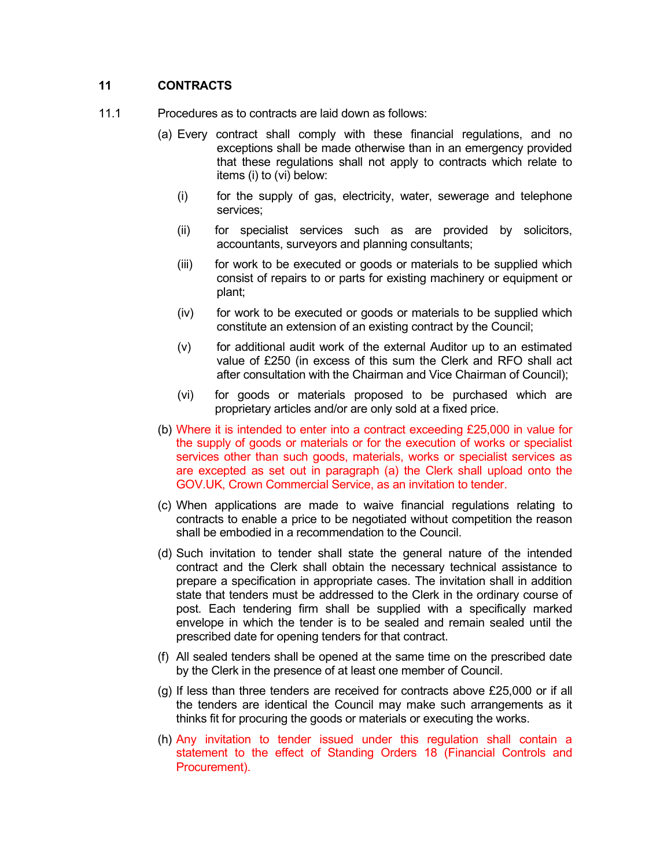# **11 CONTRACTS**

- 11.1 Procedures as to contracts are laid down as follows:
	- (a) Every contract shall comply with these financial regulations, and no exceptions shall be made otherwise than in an emergency provided that these regulations shall not apply to contracts which relate to items (i) to (vi) below:
		- (i) for the supply of gas, electricity, water, sewerage and telephone services;
		- (ii) for specialist services such as are provided by solicitors, accountants, surveyors and planning consultants;
		- (iii) for work to be executed or goods or materials to be supplied which consist of repairs to or parts for existing machinery or equipment or plant;
		- (iv) for work to be executed or goods or materials to be supplied which constitute an extension of an existing contract by the Council;
		- (v) for additional audit work of the external Auditor up to an estimated value of £250 (in excess of this sum the Clerk and RFO shall act after consultation with the Chairman and Vice Chairman of Council);
		- (vi) for goods or materials proposed to be purchased which are proprietary articles and/or are only sold at a fixed price.
	- (b) Where it is intended to enter into a contract exceeding £25,000 in value for the supply of goods or materials or for the execution of works or specialist services other than such goods, materials, works or specialist services as are excepted as set out in paragraph (a) the Clerk shall upload onto the GOV.UK, Crown Commercial Service, as an invitation to tender.
	- (c) When applications are made to waive financial regulations relating to contracts to enable a price to be negotiated without competition the reason shall be embodied in a recommendation to the Council.
	- (d) Such invitation to tender shall state the general nature of the intended contract and the Clerk shall obtain the necessary technical assistance to prepare a specification in appropriate cases. The invitation shall in addition state that tenders must be addressed to the Clerk in the ordinary course of post. Each tendering firm shall be supplied with a specifically marked envelope in which the tender is to be sealed and remain sealed until the prescribed date for opening tenders for that contract.
	- (f) All sealed tenders shall be opened at the same time on the prescribed date by the Clerk in the presence of at least one member of Council.
	- (g) If less than three tenders are received for contracts above £25,000 or if all the tenders are identical the Council may make such arrangements as it thinks fit for procuring the goods or materials or executing the works.
	- (h) Any invitation to tender issued under this regulation shall contain a statement to the effect of Standing Orders 18 (Financial Controls and Procurement).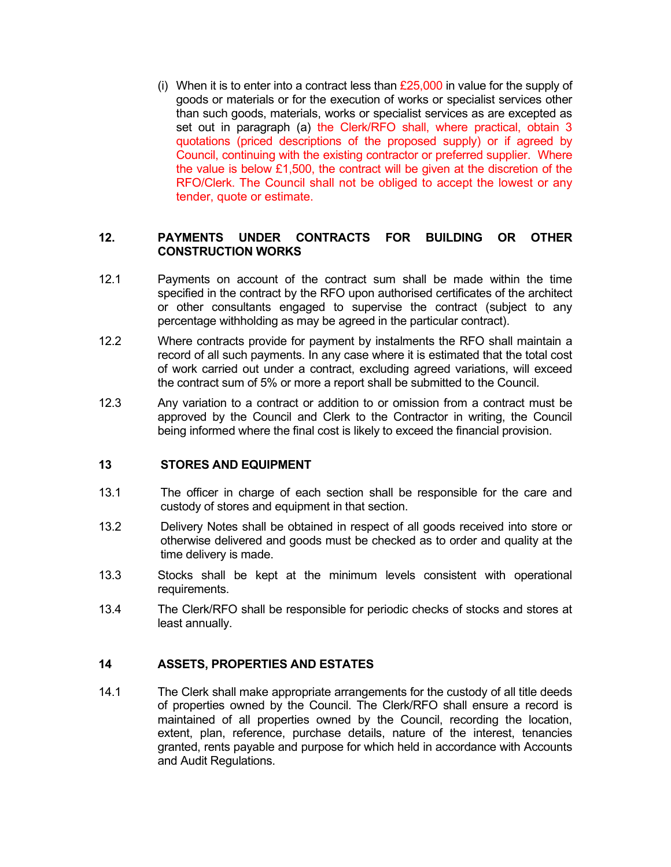(i) When it is to enter into a contract less than  $£25,000$  in value for the supply of goods or materials or for the execution of works or specialist services other than such goods, materials, works or specialist services as are excepted as set out in paragraph (a) the Clerk/RFO shall, where practical, obtain 3 quotations (priced descriptions of the proposed supply) or if agreed by Council, continuing with the existing contractor or preferred supplier. Where the value is below £1,500, the contract will be given at the discretion of the RFO/Clerk. The Council shall not be obliged to accept the lowest or any tender, quote or estimate.

#### **12. PAYMENTS UNDER CONTRACTS FOR BUILDING OR OTHER CONSTRUCTION WORKS**

- 12.1 Payments on account of the contract sum shall be made within the time specified in the contract by the RFO upon authorised certificates of the architect or other consultants engaged to supervise the contract (subject to any percentage withholding as may be agreed in the particular contract).
- 12.2 Where contracts provide for payment by instalments the RFO shall maintain a record of all such payments. In any case where it is estimated that the total cost of work carried out under a contract, excluding agreed variations, will exceed the contract sum of 5% or more a report shall be submitted to the Council.
- 12.3 Any variation to a contract or addition to or omission from a contract must be approved by the Council and Clerk to the Contractor in writing, the Council being informed where the final cost is likely to exceed the financial provision.

#### **13 STORES AND EQUIPMENT**

- 13.1 The officer in charge of each section shall be responsible for the care and custody of stores and equipment in that section.
- 13.2 Delivery Notes shall be obtained in respect of all goods received into store or otherwise delivered and goods must be checked as to order and quality at the time delivery is made.
- 13.3 Stocks shall be kept at the minimum levels consistent with operational requirements.
- 13.4 The Clerk/RFO shall be responsible for periodic checks of stocks and stores at least annually.

#### **14 ASSETS, PROPERTIES AND ESTATES**

14.1 The Clerk shall make appropriate arrangements for the custody of all title deeds of properties owned by the Council. The Clerk/RFO shall ensure a record is maintained of all properties owned by the Council, recording the location, extent, plan, reference, purchase details, nature of the interest, tenancies granted, rents payable and purpose for which held in accordance with Accounts and Audit Regulations.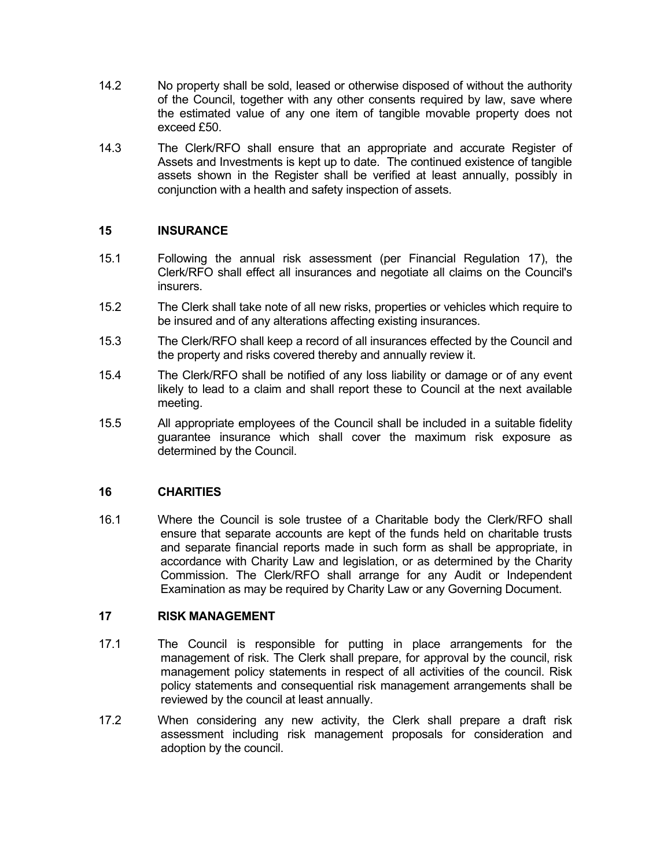- 14.2 No property shall be sold, leased or otherwise disposed of without the authority of the Council, together with any other consents required by law, save where the estimated value of any one item of tangible movable property does not exceed £50.
- 14.3 The Clerk/RFO shall ensure that an appropriate and accurate Register of Assets and Investments is kept up to date. The continued existence of tangible assets shown in the Register shall be verified at least annually, possibly in conjunction with a health and safety inspection of assets.

#### **15 INSURANCE**

- 15.1 Following the annual risk assessment (per Financial Regulation 17), the Clerk/RFO shall effect all insurances and negotiate all claims on the Council's insurers.
- 15.2 The Clerk shall take note of all new risks, properties or vehicles which require to be insured and of any alterations affecting existing insurances.
- 15.3 The Clerk/RFO shall keep a record of all insurances effected by the Council and the property and risks covered thereby and annually review it.
- 15.4 The Clerk/RFO shall be notified of any loss liability or damage or of any event likely to lead to a claim and shall report these to Council at the next available meeting.
- 15.5 All appropriate employees of the Council shall be included in a suitable fidelity guarantee insurance which shall cover the maximum risk exposure as determined by the Council.

#### **16 CHARITIES**

16.1 Where the Council is sole trustee of a Charitable body the Clerk/RFO shall ensure that separate accounts are kept of the funds held on charitable trusts and separate financial reports made in such form as shall be appropriate, in accordance with Charity Law and legislation, or as determined by the Charity Commission. The Clerk/RFO shall arrange for any Audit or Independent Examination as may be required by Charity Law or any Governing Document.

#### **17 RISK MANAGEMENT**

- 17.1 The Council is responsible for putting in place arrangements for the management of risk. The Clerk shall prepare, for approval by the council, risk management policy statements in respect of all activities of the council. Risk policy statements and consequential risk management arrangements shall be reviewed by the council at least annually.
- 17.2 When considering any new activity, the Clerk shall prepare a draft risk assessment including risk management proposals for consideration and adoption by the council.